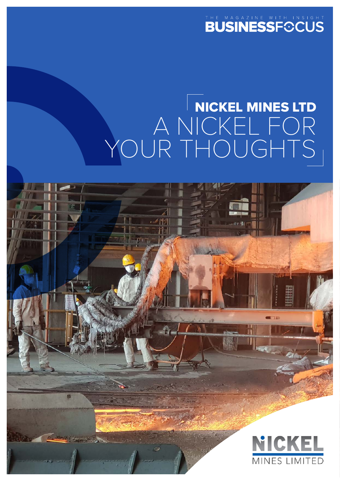# THE MAGAZINE WITH INSIGHT

# NICKEL MINES LTD A NICKEL FOR YOUR THOUGHTS

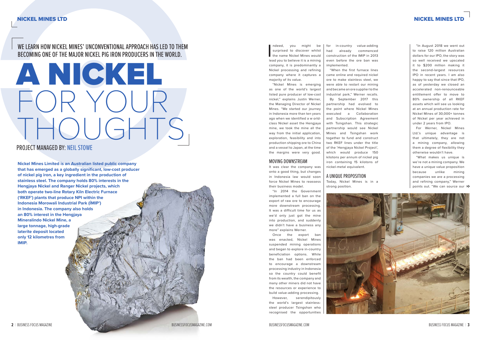$$
\begin{array}{c}\n\text{ANCH} \\
\text{PONCH} \\
\text{THOLGHT} \\
\text{NHOLGHT} \\
\end{array}
$$

## WE LEARN HOW NICKEL MINES' UNCONVENTIONAL APPROACH HAS LED TO THEM BECOMING ONE OF THE MAJOR NICKEL PIG IRON PRODUCERS IN THE WORLD.

#### PROJECT MANAGED BY: NEIL STOWE

ndeed, you might be<br>surprised to discover whilst<br>the name Nickel Mines would<br>lead you to believe it is a mining ndeed, you might be surprised to discover whilst the name Nickel Mines would company, it is predominantly a Nickel processing and refining company where it captures a majority of its value.

**Nickel Mines Limited is an Australian listed public company that has emerged as a globally significant, low-cost producer of nickel pig iron, a key ingredient in the production of stainless steel. The company holds 80% interests in the Hengjaya Nickel and Ranger Nickel projects, which both operate two-line Rotary Kiln Electric Furnace ('RKEF') plants that produce NPI within the Indonesia Morowali Industrial Park (ÍMIP') in Indonesia. The company also holds an 80% interest in the Hengjaya Mineralindo Nickel Mine, a large tonnage, high-grade laterite deposit located only 12 kilometres from IMIP.**

"Nickel Mines is emerging as one of the world's largest listed pure producer of low-cost nickel," explains Justin Werner, the Managing Director of Nickel Mines. "We started our journey in Indonesia more than ten years ago when we identified a w orldclass Nickel asset the Hengjaya mine, we took the mine all the way from the initial application, exploration, feasibility and into production shipping ore to China and a vessel to Japan, at the time the margins were very good.

#### MOVING DOWNSTREAM

It was clear the company was onto a good thing, but changes in Indonesia law would soon force Nickel Mines to reassess their business model.

"In 2014 the Government implemented a full ban on the export of raw ore to encourage more downstream processing. It was a difficult time for us as we'd only just got the mine into production, and suddenly we didn't have a business any more" explains Werner.

"What makes us unique is we're not a mining company. We have a unique value proposition because unlike mining companies we are a processing and refining company," Werner points out. "We can source our >>



Once the export ban was enacted, Nickel Mines suspended mining operations and began to explore in-country beneficiation options. While the ban had been enforced to encourage a downstream processing industry in Indonesia so the country could benefit from its wealth, the company and many other miners did not have the resources or experience to build value-adding processing.

However, serendipitously the world's largest stainlesssteel producer Tsingshan who recognised the opportunities for in-country value-adding had already commenced construction of the IMIP in 2013 even before the ore ban was implemented.

"When the first furnace lines came online and required nickel ore to make stainless steel, we were able to restart our mining and became an ore supplier to the industrial park," Werner recalls. By September 2017 this partnership had evolved to the point where Nickel Mines executed a Collaboration and Subscription Agreement with Tsingshan. This strategic partnership would see Nickel Mines and Tsingshan work together to fund and construct two RKEF lines under the title of the 'Hengjaya Nickel Project', which would produce 150 kilotons per annum of nickel pig iron containing 15 kilotons of nickel-metal equivalent.

# A UNIQUE PROPOSITION

Today, Nickel Mines is in a strong position.



"In August 2018 we went out to raise 120 million Australian dollars for our IPO, the story was so well received we upscaled it to \$200 million making it the second-largest resources IPO in recent years. I am also happy to say that since that IPO, as of yesterday we closed an accelerated non-renounceable entitlement offer to move to 80% ownership of all RKEF assets which will see us looking at an annual production rate for Nickel Mines of 30,000+ tonnes of Nickel per year achieved in under 2 years from IPO.

For Werner, Nickel Mines Ltd.'s unique advantage is that ultimately, they are not a mining company, allowing them a degree of flexibility they otherwise wouldn't have.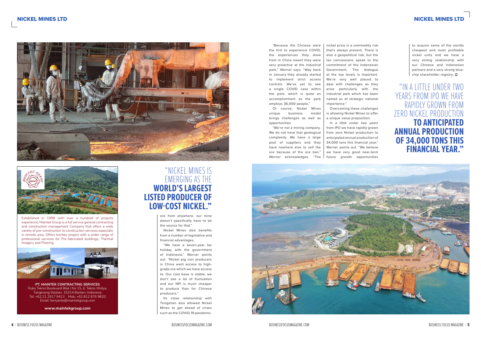### NICKEL MINES LTD NICKEL MINES LTD





Established in 1998 with over a hundred of projects experience, Maintek Group is a full service general contracting and construction management Company that offers a wide variety of pre-construction to construction services especially in remote area. Offers turnkey project with a wider range of professional services for Pre-fabricated buildings, Thermal Imagery and Flooring.



**PT. MAINTEK CONTRACTING SERVICES** Ruko Tekno Boulevard Blok I No 15, Jl. Tekno Widya, Tangerang Selatan, 15314 Banten, Indonesia Tel: +62 21 2917 9413 Mob: +62 812 876 9820 Email: heriyanto@maintekgroup.com

**www.maintekgroup.com** 

ore from anywhere, our mine doesn't specifically have to be the source for that."

Nickel Mines also benefits from a number of legislative and financial advantages.

"We have a seven-year tax holiday with the government of Indonesia," Werner points out. "Nickel pig iron producers in China want access to highgrade ore which we have access to. Our cost base is stable, we don't see a lot of fluctuation and our NPI is much cheaper to produce than for Chinese producers."

Its close relationship with Tsingshan also allowed Nickel Mines to get ahead of crises such as the COVID-19 pandemic.

to acquire some of the worlds cheapest and most profitable nickel units and we have a very strong relationship with our Chinese and Indonesian partners and a very strong bluechip shareholder registry.  $\odot$ 

"Because the Chinese were the first to experience COVID, the experiences they drew from in China meant they were very proactive at the industrial park," Werner says. "Way back in January they already started to implement strict access controls. We've yet to see a single COVID case within the park, which is quite an accomplishment as the park employs 36,000 people,"

Of course, Nickel Mines unique business model brings challenges as well as opportunities.

"We're not a mining company. We do not have that geological complexity. We have a large pool of suppliers and they have nowhere else to sell the ore because of the ore ban," Werner acknowledges. "The

nickel price is a commodity risk that's always present. There is also a geopolitical risk, but the tax concessions speak to the commitment of the Indonesian Government. The dialogue at the top levels is important. We're very well placed to deal with challenges as they arise particularly with the industrial park which has been named as of strategic national importance."

Overcoming these challenges is allowing Nickel Mines to offer a unique value proposition. In a little under two years from IPO we have rapidly grown from zero Nickel production to anticipated annual production of 34,000 tons this financial year," Werner points out. "We believe we have very good near-term future growth opportunities



## "NICKEL MINES IS EMERGING AS THE **WORLD'S LARGEST LISTED PRODUCER OF LOW-COST NICKEL."**

"IN A LITTLE UNDER TWO YEARS FROM IPO WE HAVE RAPIDLY GROWN FROM ZERO NICKEL PRODUCTION **TO ANTICIPATED ANNUAL PRODUCTION OF 34,000 TONS THIS FINANCIAL YEAR."**